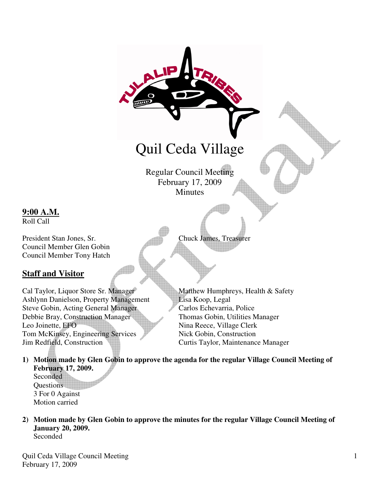

### **9:00 A.M.**

Roll Call

Council Member Glen Gobin Council Member Tony Hatch

# **Staff and Visitor**

Cal Taylor, Liquor Store Sr. Manager Matthew Humphreys, Health & Safety Ashlynn Danielson, Property Management Lisa Koop, Legal Steve Gobin, Acting General Manager Carlos Echevarria, Police Debbie Bray, Construction Manager Thomas Gobin, Utilities Manager Leo Joinette, EFO Nina Reece, Village Clerk Tom McKinsey, Engineering Services Nick Gobin, Construction Jim Redfield, Construction Curtis Taylor, Maintenance Manager

- **1) Motion made by Glen Gobin to approve the agenda for the regular Village Council Meeting of February 17, 2009. Seconded** Questions
	- 3 For 0 Against Motion carried
- **2) Motion made by Glen Gobin to approve the minutes for the regular Village Council Meeting of January 20, 2009.**  Seconded

Quil Ceda Village Council Meeting February 17, 2009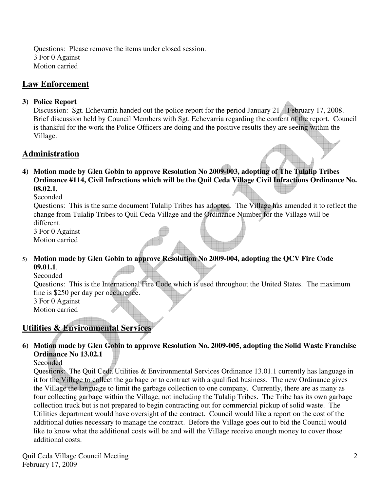Questions: Please remove the items under closed session. 3 For 0 Against Motion carried

## **Law Enforcement**

#### **3) Police Report**

Discussion: Sgt. Echevarria handed out the police report for the period January 21 – February 17, 2008. Brief discussion held by Council Members with Sgt. Echevarria regarding the content of the report. Council is thankful for the work the Police Officers are doing and the positive results they are seeing within the Village.

### **Administration**

**4) Motion made by Glen Gobin to approve Resolution No 2009-003, adopting of The Tulalip Tribes Ordinance #114, Civil Infractions which will be the Quil Ceda Village Civil Infractions Ordinance No. 08.02.1.** 

Seconded

Questions: This is the same document Tulalip Tribes has adopted. The Village has amended it to reflect the change from Tulalip Tribes to Quil Ceda Village and the Ordinance Number for the Village will be different.

3 For 0 Against Motion carried

5) **Motion made by Glen Gobin to approve Resolution No 2009-004, adopting the QCV Fire Code 09.01.1**.

Seconded

Questions: This is the International Fire Code which is used throughout the United States. The maximum fine is \$250 per day per occurrence.

3 For 0 Against Motion carried

# **Utilities & Environmental Services**

**6) Motion made by Glen Gobin to approve Resolution No. 2009-005, adopting the Solid Waste Franchise Ordinance No 13.02.1** 

**Seconded** 

Questions: The Quil Ceda Utilities & Environmental Services Ordinance 13.01.1 currently has language in it for the Village to collect the garbage or to contract with a qualified business. The new Ordinance gives the Village the language to limit the garbage collection to one company. Currently, there are as many as four collecting garbage within the Village, not including the Tulalip Tribes. The Tribe has its own garbage collection truck but is not prepared to begin contracting out for commercial pickup of solid waste. The Utilities department would have oversight of the contract. Council would like a report on the cost of the additional duties necessary to manage the contract. Before the Village goes out to bid the Council would like to know what the additional costs will be and will the Village receive enough money to cover those additional costs.

Quil Ceda Village Council Meeting February 17, 2009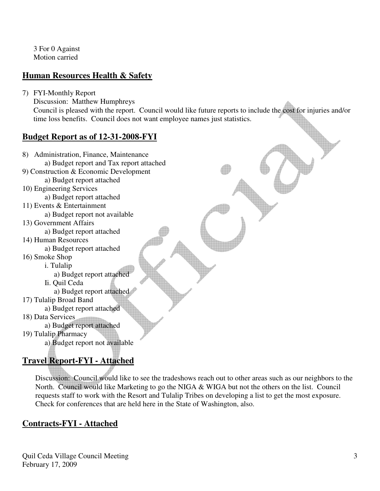3 For 0 Against Motion carried

# **Human Resources Health & Safety**

- 7) FYI-Monthly Report
	- Discussion: Matthew Humphreys

Council is pleased with the report. Council would like future reports to include the cost for injuries and/or time loss benefits. Council does not want employee names just statistics.

### **Budget Report as of 12-31-2008-FYI**

8) Administration, Finance, Maintenance a) Budget report and Tax report attached 9) Construction & Economic Development a) Budget report attached 10) Engineering Services a) Budget report attached 11) Events & Entertainment a) Budget report not available 13) Government Affairs a) Budget report attached 14) Human Resources a) Budget report attached 16) Smoke Shop i. Tulalip a) Budget report attached Ii. Quil Ceda a) Budget report attached 17) Tulalip Broad Band a) Budget report attached 18) Data Services a) Budget report attached 19) Tulalip Pharmacy a) Budget report not available

# **Travel Report-FYI - Attached**

 Discussion: Council would like to see the tradeshows reach out to other areas such as our neighbors to the North. Council would like Marketing to go the NIGA & WIGA but not the others on the list. Council requests staff to work with the Resort and Tulalip Tribes on developing a list to get the most exposure. Check for conferences that are held here in the State of Washington, also.

# **Contracts-FYI - Attached**

Quil Ceda Village Council Meeting February 17, 2009